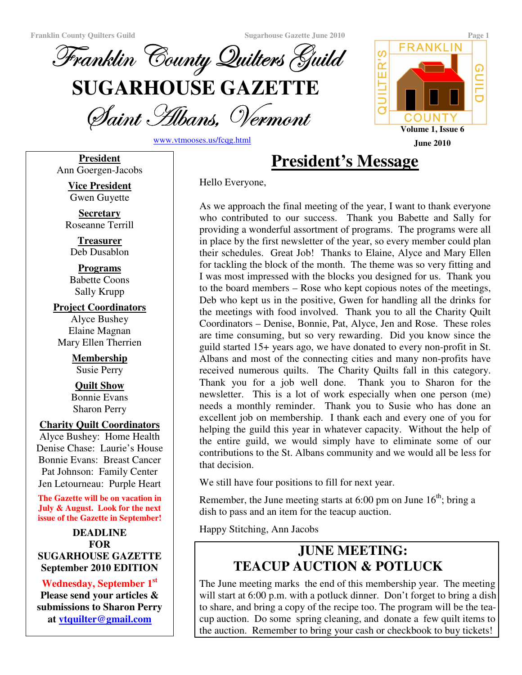

Saint Albans, Vermoni

www.vtmooses.us/fcqg.html

Hello Everyone,

**FRANKLIN** ဖ UILTER' **GUILD** COUNTY **Volume 1, Issue 6 June 2010**

**President** Ann Goergen-Jacobs **President's Message**

**Vice President** Gwen Guyette

**Secretary** Roseanne Terrill

**Treasurer** Deb Dusablon

**Programs** Babette Coons Sally Krupp

**Project Coordinators** Alyce Bushey Elaine Magnan Mary Ellen Therrien

> **Membership** Susie Perry

> **Quilt Show** Bonnie Evans Sharon Perry

#### **Charity Quilt Coordinators**

Alyce Bushey: Home Health Denise Chase: Laurie's House Bonnie Evans: Breast Cancer Pat Johnson: Family Center Jen Letourneau: Purple Heart

**The Gazette will be on vacation in July & August. Look for the next issue of the Gazette in September!**

**DEADLINE FOR SUGARHOUSE GAZETTE September 2010 EDITION**

### **Wednesday, September 1 st**

**Please send your articles & submissions to Sharon Perry at vtquilter@gmail.com**

As we approach the final meeting of the year, I want to thank everyone who contributed to our success. Thank you Babette and Sally for providing a wonderful assortment of programs. The programs were all in place by the first newsletter of the year, so every member could plan their schedules. Great Job! Thanks to Elaine, Alyce and Mary Ellen for tackling the block of the month. The theme was so very fitting and I was most impressed with the blocks you designed for us. Thank you to the board members – Rose who kept copious notes of the meetings, Deb who kept us in the positive, Gwen for handling all the drinks for the meetings with food involved. Thank you to all the Charity Quilt Coordinators – Denise, Bonnie, Pat, Alyce, Jen and Rose. These roles are time consuming, but so very rewarding. Did you know since the guild started 15+ years ago, we have donated to every non-profit in St. Albans and most of the connecting cities and many non-profits have received numerous quilts. The Charity Quilts fall in this category. Thank you for a job well done. Thank you to Sharon for the newsletter. This is a lot of work especially when one person (me) needs a monthly reminder. Thank you to Susie who has done an excellent job on membership. I thank each and every one of you for helping the guild this year in whatever capacity. Without the help of the entire guild, we would simply have to eliminate some of our contributions to the St. Albans community and we would all be less for that decision.

We still have four positions to fill for next year.

Remember, the June meeting starts at 6:00 pm on June  $16<sup>th</sup>$ ; bring a dish to pass and an item for the teacup auction.

Happy Stitching, Ann Jacobs

# **JUNE MEETING: TEACUP AUCTION & POTLUCK**

The June meeting marks the end of this membership year. The meeting will start at 6:00 p.m. with a potluck dinner. Don't forget to bring a dish to share, and bring a copy of the recipe too. The program will be the teacup auction. Do some spring cleaning, and donate a few quilt items to the auction. Remember to bring your cash or checkbook to buy tickets!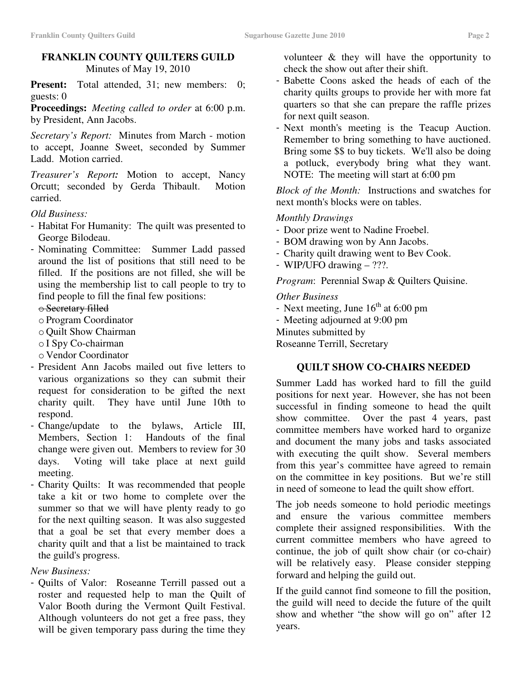#### **FRANKLIN COUNTY QUILTERS GUILD** Minutes of May 19, 2010

Present: Total attended, 31; new members: 0; guests: 0

**Proceedings:** *Meeting called to order* at 6:00 p.m. by President, Ann Jacobs.

*Secretary's Report:* Minutes from March - motion to accept, Joanne Sweet, seconded by Summer Ladd. Motion carried.

*Treasurer's Report:* Motion to accept, Nancy Orcutt; seconded by Gerda Thibault. Motion carried.

*Old Business:*

- Habitat For Humanity: The quilt was presented to George Bilodeau.
- Nominating Committee: Summer Ladd passed around the list of positions that still need to be filled. If the positions are not filled, she will be using the membership list to call people to try to find people to fill the final few positions:

o Secretary filled

- o Program Coordinator
- o Quilt Show Chairman
- o I Spy Co-chairman
- o Vendor Coordinator
- President Ann Jacobs mailed out five letters to various organizations so they can submit their request for consideration to be gifted the next charity quilt. They have until June 10th to respond.
- Change/update to the bylaws, Article III, Members, Section 1: Handouts of the final change were given out. Members to review for 30 days. Voting will take place at next guild meeting.
- Charity Quilts: It was recommended that people take a kit or two home to complete over the summer so that we will have plenty ready to go for the next quilting season. It was also suggested that a goal be set that every member does a charity quilt and that a list be maintained to track the guild's progress.

*New Business:*

- Quilts of Valor: Roseanne Terrill passed out a roster and requested help to man the Quilt of Valor Booth during the Vermont Quilt Festival. Although volunteers do not get a free pass, they will be given temporary pass during the time they

volunteer & they will have the opportunity to check the show out after their shift.

- Babette Coons asked the heads of each of the charity quilts groups to provide her with more fat quarters so that she can prepare the raffle prizes for next quilt season.
- Next month's meeting is the Teacup Auction. Remember to bring something to have auctioned. Bring some \$\$ to buy tickets. We'll also be doing a potluck, everybody bring what they want. NOTE: The meeting will start at 6:00 pm

*Block of the Month:* Instructions and swatches for next month's blocks were on tables.

#### *Monthly Drawings*

- Door prize went to Nadine Froebel.
- BOM drawing won by Ann Jacobs.
- Charity quilt drawing went to Bev Cook.
- WIP/UFO drawing ???.

*Program*: Perennial Swap & Quilters Quisine.

*Other Business*

- Next meeting, June  $16^{th}$  at 6:00 pm
- Meeting adjourned at 9:00 pm
- Minutes submitted by

Roseanne Terrill, Secretary

## **QUILT SHOW CO-CHAIRS NEEDED**

Summer Ladd has worked hard to fill the guild positions for next year. However, she has not been successful in finding someone to head the quilt show committee. Over the past 4 years, past committee members have worked hard to organize and document the many jobs and tasks associated with executing the quilt show. Several members from this year's committee have agreed to remain on the committee in key positions. But we're still in need of someone to lead the quilt show effort.

The job needs someone to hold periodic meetings and ensure the various committee members complete their assigned responsibilities. With the current committee members who have agreed to continue, the job of quilt show chair (or co-chair) will be relatively easy. Please consider stepping forward and helping the guild out.

If the guild cannot find someone to fill the position, the guild will need to decide the future of the quilt show and whether "the show will go on" after 12 years.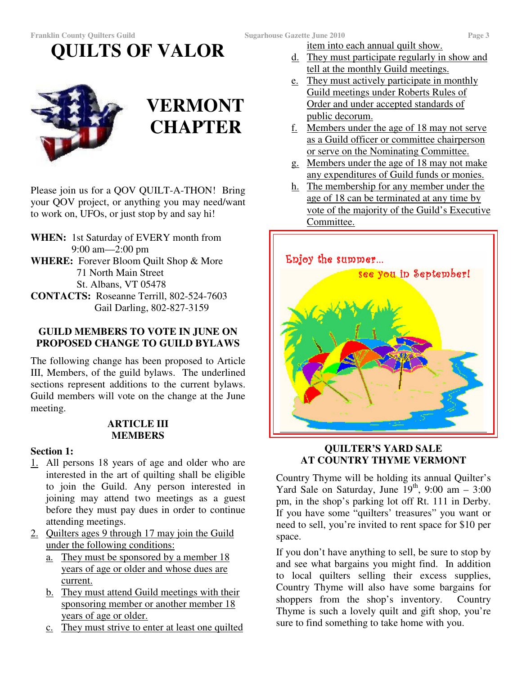item into each annual quilt show.

- d. They must participate regularly in show and tell at the monthly Guild meetings.
- e. They must actively participate in monthly Guild meetings under Roberts Rules of Order and under accepted standards of public decorum.
- f. Members under the age of 18 may not serve as a Guild officer or committee chairperson or serve on the Nominating Committee.
- g. Members under the age of 18 may not make any expenditures of Guild funds or monies.
- h. The membership for any member under the age of 18 can be terminated at any time by vote of the majority of the Guild's Executive Committee.



#### **QUILTER'S YARD SALE AT COUNTRY THYME VERMONT**

Country Thyme will be holding its annual Quilter's Yard Sale on Saturday, June  $19<sup>th</sup>$ , 9:00 am - 3:00 pm, in the shop's parking lot off Rt. 111 in Derby. If you have some "quilters' treasures" you want or need to sell, you're invited to rent space for \$10 per space.

If you don't have anything to sell, be sure to stop by and see what bargains you might find. In addition to local quilters selling their excess supplies, Country Thyme will also have some bargains for shoppers from the shop's inventory. Country Thyme is such a lovely quilt and gift shop, you're sure to find something to take home with you.

Please join us for a QOV QUILT-A-THON! Bring your QOV project, or anything you may need/want to work on, UFOs, or just stop by and say hi!

**QUILTS OF VALOR**

- **WHEN:** 1st Saturday of EVERY month from 9:00 am—2:00 pm **WHERE:** Forever Bloom Quilt Shop & More 71 North Main Street St. Albans, VT 05478
- **CONTACTS:** Roseanne Terrill, 802-524-7603 Gail Darling, 802-827-3159

### **GUILD MEMBERS TO VOTE IN JUNE ON PROPOSED CHANGE TO GUILD BYLAWS**

The following change has been proposed to Article III, Members, of the guild bylaws. The underlined sections represent additions to the current bylaws. Guild members will vote on the change at the June meeting.

#### **ARTICLE III MEMBERS**

### **Section 1:**

- 1. All persons 18 years of age and older who are interested in the art of quilting shall be eligible to join the Guild. Any person interested in joining may attend two meetings as a guest before they must pay dues in order to continue attending meetings.
- 2. Quilters ages 9 through 17 may join the Guild under the following conditions:
	- a. They must be sponsored by a member 18 years of age or older and whose dues are current.
	- b. They must attend Guild meetings with their sponsoring member or another member 18 years of age or older.
	- c. They must strive to enter at least one quilted

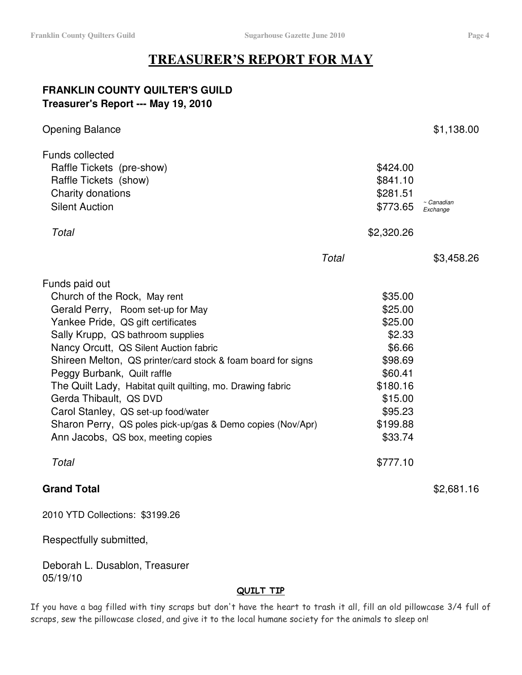## **TREASURER'S REPORT FOR MAY**

### **FRANKLIN COUNTY QUILTER'S GUILD Treasurer's Report --- May 19, 2010**

| <b>Opening Balance</b>                                                                                                                                                                                                                                                                                                                                                                                                                                                                                                                              |       |                                                                                                                                              | \$1,138.00             |
|-----------------------------------------------------------------------------------------------------------------------------------------------------------------------------------------------------------------------------------------------------------------------------------------------------------------------------------------------------------------------------------------------------------------------------------------------------------------------------------------------------------------------------------------------------|-------|----------------------------------------------------------------------------------------------------------------------------------------------|------------------------|
| <b>Funds collected</b><br>Raffle Tickets (pre-show)<br>Raffle Tickets (show)<br>Charity donations<br><b>Silent Auction</b>                                                                                                                                                                                                                                                                                                                                                                                                                          |       | \$424.00<br>\$841.10<br>\$281.51<br>\$773.65                                                                                                 | ~ Canadian<br>Exchange |
| Total                                                                                                                                                                                                                                                                                                                                                                                                                                                                                                                                               |       | \$2,320.26                                                                                                                                   |                        |
|                                                                                                                                                                                                                                                                                                                                                                                                                                                                                                                                                     | Total |                                                                                                                                              | \$3,458.26             |
| Funds paid out<br>Church of the Rock, May rent<br>Gerald Perry, Room set-up for May<br>Yankee Pride, QS gift certificates<br>Sally Krupp, QS bathroom supplies<br>Nancy Orcutt, QS Silent Auction fabric<br>Shireen Melton, QS printer/card stock & foam board for signs<br>Peggy Burbank, Quilt raffle<br>The Quilt Lady, Habitat quilt quilting, mo. Drawing fabric<br>Gerda Thibault, QS DVD<br>Carol Stanley, QS set-up food/water<br>Sharon Perry, QS poles pick-up/gas & Demo copies (Nov/Apr)<br>Ann Jacobs, QS box, meeting copies<br>Total |       | \$35.00<br>\$25.00<br>\$25.00<br>\$2.33<br>\$6.66<br>\$98.69<br>\$60.41<br>\$180.16<br>\$15.00<br>\$95.23<br>\$199.88<br>\$33.74<br>\$777.10 |                        |
| <b>Grand Total</b>                                                                                                                                                                                                                                                                                                                                                                                                                                                                                                                                  |       |                                                                                                                                              | \$2,681.16             |

2010 YTD Collections: \$3199.26

Respectfully submitted,

Deborah L. Dusablon, Treasurer 05/19/10

#### <u>QUILT TIP</u>

If you have a bag filled with tiny scraps but don't have the heart to trash it all, fill an old pillowcase 3/4 full of scraps, sew the pillowcase closed, and give it to the local humane society for the animals to sleep on!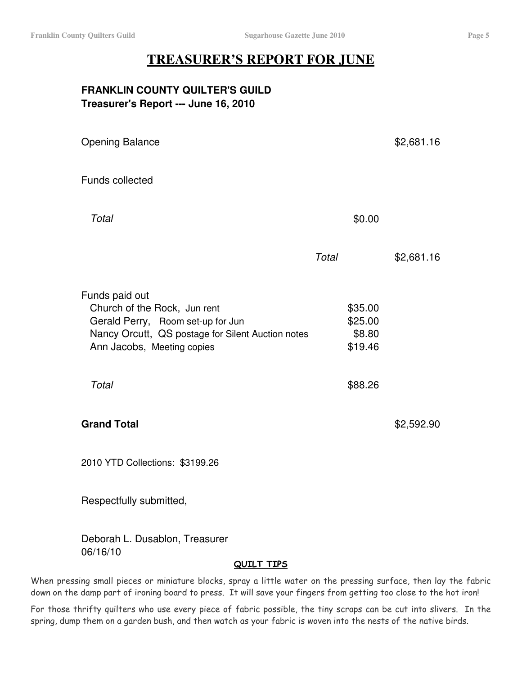## **TREASURER'S REPORT FOR JUNE**

#### **FRANKLIN COUNTY QUILTER'S GUILD Treasurer's Report --- June 16, 2010**

| <b>Opening Balance</b>                                                                                                                                                 |       |                                         | \$2,681.16 |
|------------------------------------------------------------------------------------------------------------------------------------------------------------------------|-------|-----------------------------------------|------------|
| Funds collected                                                                                                                                                        |       |                                         |            |
| Total                                                                                                                                                                  |       | \$0.00                                  |            |
|                                                                                                                                                                        | Total |                                         | \$2,681.16 |
| Funds paid out<br>Church of the Rock, Jun rent<br>Gerald Perry, Room set-up for Jun<br>Nancy Orcutt, QS postage for Silent Auction notes<br>Ann Jacobs, Meeting copies |       | \$35.00<br>\$25.00<br>\$8.80<br>\$19.46 |            |
| Total                                                                                                                                                                  |       | \$88.26                                 |            |
| <b>Grand Total</b>                                                                                                                                                     |       |                                         | \$2,592.90 |
| 2010 YTD Collections: \$3199.26                                                                                                                                        |       |                                         |            |
| Respectfully submitted,                                                                                                                                                |       |                                         |            |

Deborah L. Dusablon, Treasurer 06/16/10

#### <u>QUILT TIPS</u>

When pressing small pieces or miniature blocks, spray a little water on the pressing surface, then lay the fabric down on the damp part of ironing board to press. It will save your fingers from getting too close to the hot iron!

For those thrifty quilters who use every piece of fabric possible, the tiny scraps can be cut into slivers. In the spring, dump them on a garden bush, and then watch as your fabric is woven into the nests of the native birds.